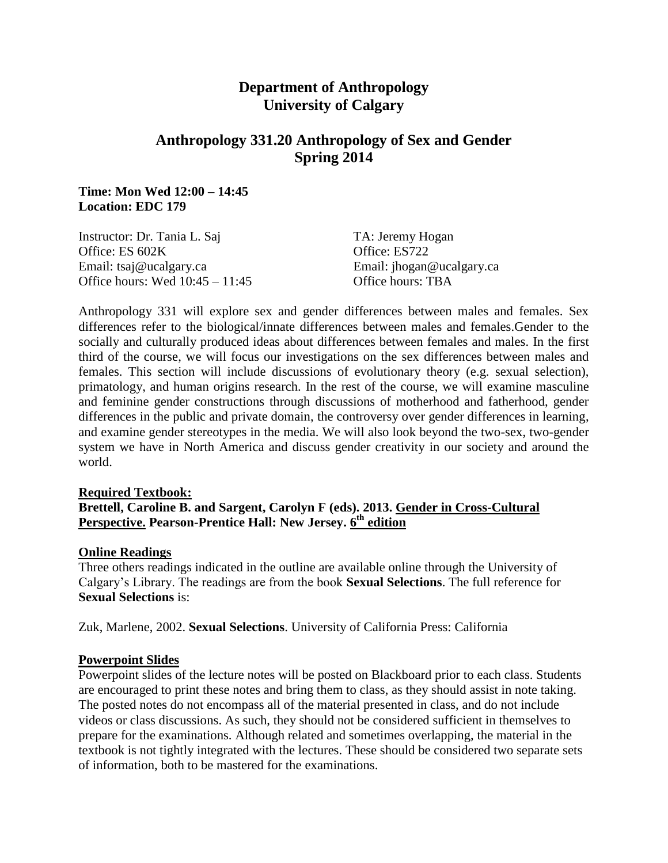# **Department of Anthropology University of Calgary**

# **Anthropology 331.20 Anthropology of Sex and Gender Spring 2014**

#### **Time: Mon Wed 12:00 – 14:45 Location: EDC 179**

| TA: Jeremy Hogan          |
|---------------------------|
| Office: ES722             |
| Email: jhogan@ucalgary.ca |
| Office hours: TBA         |
|                           |

Anthropology 331 will explore sex and gender differences between males and females. Sex differences refer to the biological/innate differences between males and females.Gender to the socially and culturally produced ideas about differences between females and males. In the first third of the course, we will focus our investigations on the sex differences between males and females. This section will include discussions of evolutionary theory (e.g. sexual selection), primatology, and human origins research. In the rest of the course, we will examine masculine and feminine gender constructions through discussions of motherhood and fatherhood, gender differences in the public and private domain, the controversy over gender differences in learning, and examine gender stereotypes in the media. We will also look beyond the two-sex, two-gender system we have in North America and discuss gender creativity in our society and around the world.

#### **Required Textbook:**

## **Brettell, Caroline B. and Sargent, Carolyn F (eds). 2013. Gender in Cross-Cultural Perspective. Pearson-Prentice Hall: New Jersey. 6 th edition**

#### **Online Readings**

Three others readings indicated in the outline are available online through the University of Calgary's Library. The readings are from the book **Sexual Selections**. The full reference for **Sexual Selections** is:

Zuk, Marlene, 2002. **Sexual Selections**. University of California Press: California

#### **Powerpoint Slides**

Powerpoint slides of the lecture notes will be posted on Blackboard prior to each class. Students are encouraged to print these notes and bring them to class, as they should assist in note taking. The posted notes do not encompass all of the material presented in class, and do not include videos or class discussions. As such, they should not be considered sufficient in themselves to prepare for the examinations. Although related and sometimes overlapping, the material in the textbook is not tightly integrated with the lectures. These should be considered two separate sets of information, both to be mastered for the examinations.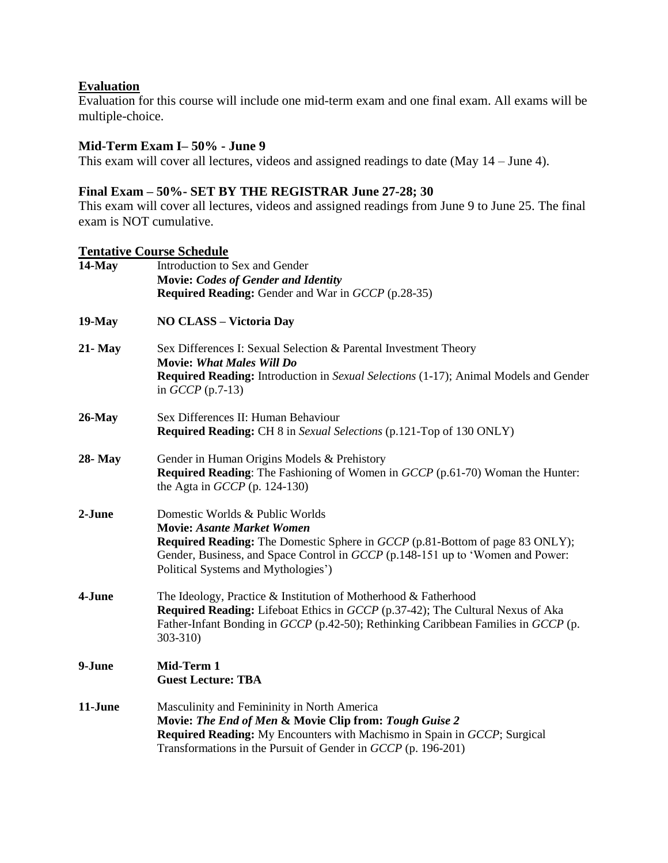### **Evaluation**

Evaluation for this course will include one mid-term exam and one final exam. All exams will be multiple-choice.

### **Mid-Term Exam I– 50% - June 9**

This exam will cover all lectures, videos and assigned readings to date (May 14 – June 4).

## **Final Exam – 50%- SET BY THE REGISTRAR June 27-28; 30**

This exam will cover all lectures, videos and assigned readings from June 9 to June 25. The final exam is NOT cumulative.

### **Tentative Course Schedule**

| $14$ -May      | Introduction to Sex and Gender                                                                                                                                                                                                                                                |  |  |  |  |  |
|----------------|-------------------------------------------------------------------------------------------------------------------------------------------------------------------------------------------------------------------------------------------------------------------------------|--|--|--|--|--|
|                | <b>Movie: Codes of Gender and Identity</b><br><b>Required Reading:</b> Gender and War in <i>GCCP</i> (p.28-35)                                                                                                                                                                |  |  |  |  |  |
| $19$ -May      | <b>NO CLASS - Victoria Day</b>                                                                                                                                                                                                                                                |  |  |  |  |  |
| $21 - May$     | Sex Differences I: Sexual Selection & Parental Investment Theory<br><b>Movie: What Males Will Do</b><br><b>Required Reading:</b> Introduction in Sexual Selections (1-17); Animal Models and Gender<br>in $GCCP$ (p.7-13)                                                     |  |  |  |  |  |
| $26$ -May      | Sex Differences II: Human Behaviour<br><b>Required Reading:</b> CH 8 in Sexual Selections (p.121-Top of 130 ONLY)                                                                                                                                                             |  |  |  |  |  |
| <b>28-</b> May | Gender in Human Origins Models & Prehistory<br><b>Required Reading:</b> The Fashioning of Women in <i>GCCP</i> (p.61-70) Woman the Hunter:<br>the Agta in $GCCP$ (p. 124-130)                                                                                                 |  |  |  |  |  |
| 2-June         | Domestic Worlds & Public Worlds<br><b>Movie: Asante Market Women</b><br>Required Reading: The Domestic Sphere in GCCP (p.81-Bottom of page 83 ONLY);<br>Gender, Business, and Space Control in GCCP (p.148-151 up to 'Women and Power:<br>Political Systems and Mythologies') |  |  |  |  |  |
| 4-June         | The Ideology, Practice & Institution of Motherhood & Fatherhood<br>Required Reading: Lifeboat Ethics in GCCP (p.37-42); The Cultural Nexus of Aka<br>Father-Infant Bonding in GCCP (p.42-50); Rethinking Caribbean Families in GCCP (p.<br>303-310)                           |  |  |  |  |  |
| 9-June         | Mid-Term 1<br><b>Guest Lecture: TBA</b>                                                                                                                                                                                                                                       |  |  |  |  |  |
| 11-June        | Masculinity and Femininity in North America<br>Movie: The End of Men & Movie Clip from: Tough Guise 2<br>Required Reading: My Encounters with Machismo in Spain in GCCP; Surgical<br>Transformations in the Pursuit of Gender in GCCP (p. 196-201)                            |  |  |  |  |  |
|                |                                                                                                                                                                                                                                                                               |  |  |  |  |  |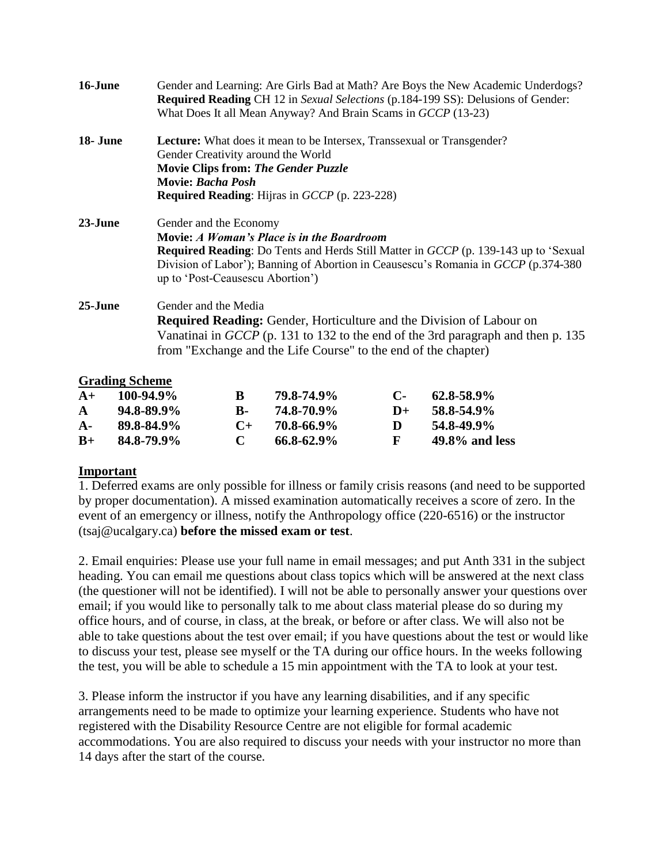| 16-June  | Gender and Learning: Are Girls Bad at Math? Are Boys the New Academic Underdogs?<br>Required Reading CH 12 in Sexual Selections (p.184-199 SS): Delusions of Gender:<br>What Does It all Mean Anyway? And Brain Scams in GCCP (13-23)                                                                |  |  |  |  |  |
|----------|------------------------------------------------------------------------------------------------------------------------------------------------------------------------------------------------------------------------------------------------------------------------------------------------------|--|--|--|--|--|
| 18- June | <b>Lecture:</b> What does it mean to be Intersex, Transsexual or Transgender?<br>Gender Creativity around the World<br><b>Movie Clips from: The Gender Puzzle</b><br><b>Movie: Bacha Posh</b><br><b>Required Reading:</b> Hijras in GCCP (p. 223-228)                                                |  |  |  |  |  |
| 23-June  | Gender and the Economy<br>Movie: A Woman's Place is in the Boardroom<br><b>Required Reading:</b> Do Tents and Herds Still Matter in <i>GCCP</i> (p. 139-143 up to 'Sexual<br>Division of Labor'); Banning of Abortion in Ceausescu's Romania in GCCP (p.374-380)<br>up to 'Post-Ceausescu Abortion') |  |  |  |  |  |
| 25-June  | Gender and the Media<br><b>Required Reading:</b> Gender, Horticulture and the Division of Labour on<br>Vanatinai in $GCCP$ (p. 131 to 132 to the end of the 3rd paragraph and then p. 135<br>from "Exchange and the Life Course" to the end of the chapter)                                          |  |  |  |  |  |

#### **Grading Scheme**

| $A+$         | $100 - 94.9\%$  | R.           | 79.8-74.9%      | $\mathbf{C}$ | $62.8 - 58.9\%$   |
|--------------|-----------------|--------------|-----------------|--------------|-------------------|
| $\mathbf{A}$ | $94.8 - 89.9\%$ | к.           | 74.8-70.9%      | $1+$         | 58.8-54.9%        |
| ${\bf A}$ -  | 89.8-84.9%      | $\mathbf{C}$ | 70.8-66.9%      | Ð            | 54.8-49.9%        |
| $R_{+}$      | 84.8-79.9%      | $\mathbf{C}$ | $66.8 - 62.9\%$ | К.           | $49.8\%$ and less |

#### **Important**

1. Deferred exams are only possible for illness or family crisis reasons (and need to be supported by proper documentation). A missed examination automatically receives a score of zero. In the event of an emergency or illness, notify the Anthropology office (220-6516) or the instructor (tsaj@ucalgary.ca) **before the missed exam or test**.

2. Email enquiries: Please use your full name in email messages; and put Anth 331 in the subject heading. You can email me questions about class topics which will be answered at the next class (the questioner will not be identified). I will not be able to personally answer your questions over email; if you would like to personally talk to me about class material please do so during my office hours, and of course, in class, at the break, or before or after class. We will also not be able to take questions about the test over email; if you have questions about the test or would like to discuss your test, please see myself or the TA during our office hours. In the weeks following the test, you will be able to schedule a 15 min appointment with the TA to look at your test.

3. Please inform the instructor if you have any learning disabilities, and if any specific arrangements need to be made to optimize your learning experience. Students who have not registered with the Disability Resource Centre are not eligible for formal academic accommodations. You are also required to discuss your needs with your instructor no more than 14 days after the start of the course.